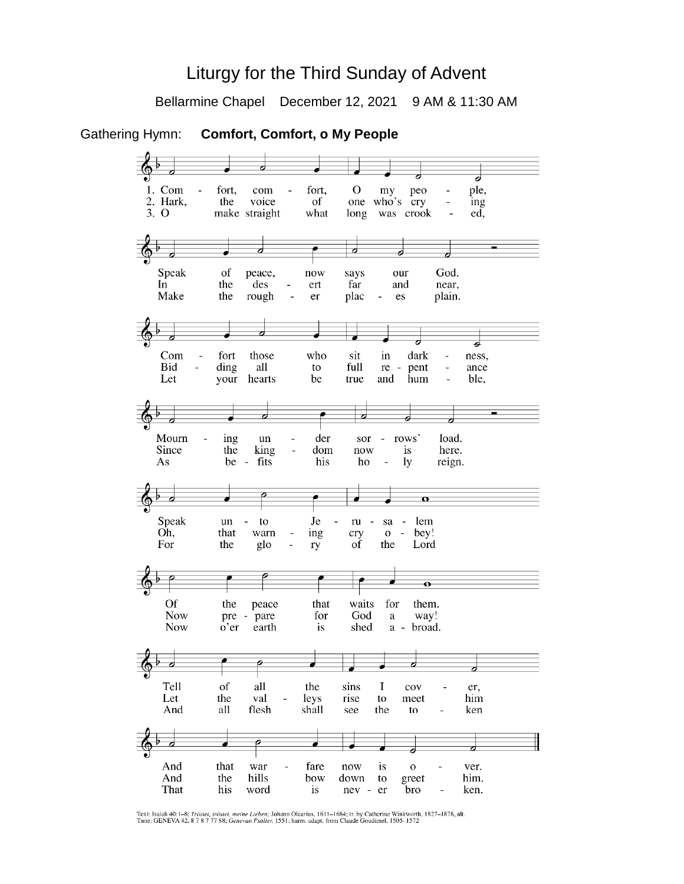# Liturgy for the Third Sunday of Advent

Bellarmine Chapel December 12, 2021 9 AM & 11:30 AM

Gathering Hymn: **Comfort, Comfort, o My People**  $\overline{\boldsymbol{d}}$ 1. Com fort. fort,  $\Omega$ ple, com peo my 2. Hark, the voice of one who's  $\frac{1}{\text{cry}}$ ing  $\overline{a}$  $3.0$ make straight what long was crook  $\overline{a}$ ed, d ø  $\overline{\phantom{a}}$ ⋥ ⊿ Speak of God. peace, now says our  $\overline{\ln}$ the near, des ert far and Make the rough plac plain.  $\overline{a}$ er  $\overline{a}$ es d ᅴ Com fort those who dark sit in ness, Bid ding all full pent ance  $\overline{a}$ to re - $\overline{a}$ hearts be Let your true and hum  $\overline{a}$ ble, J  $\overline{\phantom{a}}$ ನ ᅱ Mourn der load. ing un sor  $\overline{a}$ rows' Since the king dom now is here. fits his As be ho  $1<sub>V</sub>$ reign.  $\overline{\phantom{a}}$  $\overline{\mathbf{c}}$  $\Omega$ Speak  $_{\rm Je}$ un  $\sim$ to  $ru$  $\overline{a}$  $sa$ lem Oh, that warn ing cry  $0$ bey!  $\blacksquare$ For the glo  $\overline{a}$ ry of the Lord  $\overline{\mathbf{e}}$ **Of** for the peace that waits them. **Now** pre pare for God a way! **Now** o'er earth is shed  $a$ broad. ø p Tell of all the sins  $\mathbf I$ cov er, Let the val leys rise to meet him And all flesh shall see the to ken  $\overline{\rho}$  $\overline{a}$ ◢ ◢ And that war fare now is  $\overline{O}$ ver. down greet And the hills bow to him. That his word is nev - er bro ken.

Text: Isaiah 40:1-8; Tröstet, tröstet, meine Lieben; Johann Olearius, 1611-1684; tr. by Catherine Winkworth, 1827-1878, alt.<br>Tune: GENEVA 42, 8 7 8 7 77 88; Genevan Psalter, 1551; harm. adapt. from Claude Goudimel, 1505-15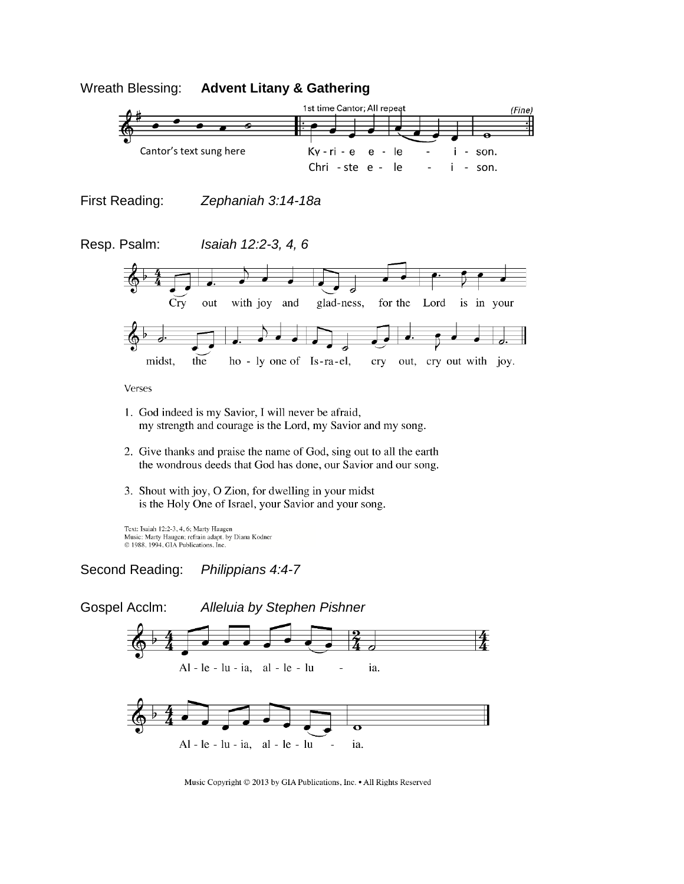



Music Copyright © 2013 by GIA Publications, Inc. • All Rights Reserved

 $\overline{\mathbf{o}}$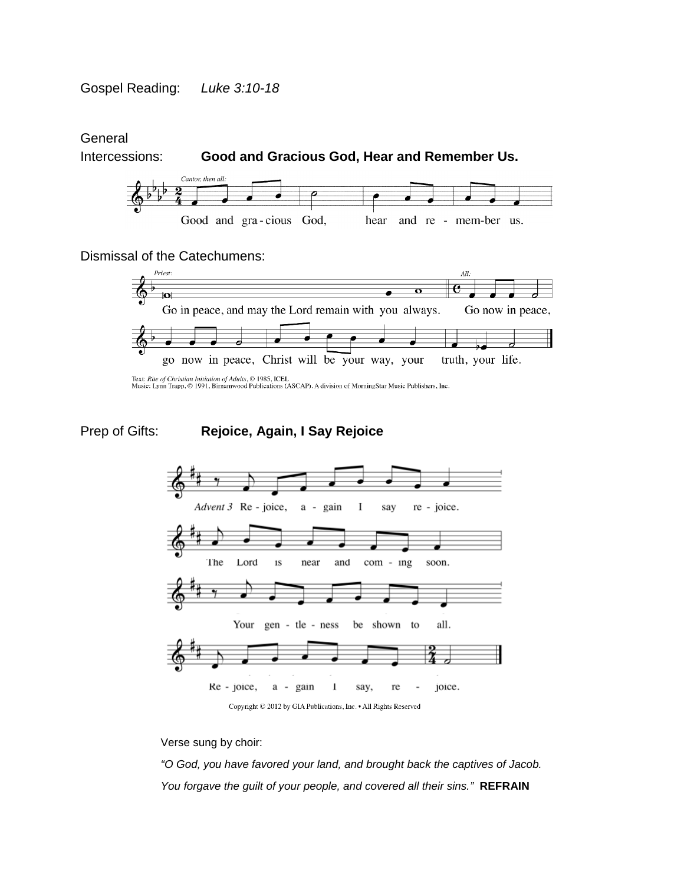**General** 



## Dismissal of the Catechumens:



Text: Rite of Christian Initiation of Adults, © 1985, ICEL<br>Music: Lynn Trapp, © 1991, Birnamwood Publications (ASCAP). A division of MorningStar Music Publishers, Inc.

# Prep of Gifts: **Rejoice, Again, I Say Rejoice**





Verse sung by choir:

*"O God, you have favored your land, and brought back the captives of Jacob. You forgave the guilt of your people, and covered all their sins."* **REFRAIN**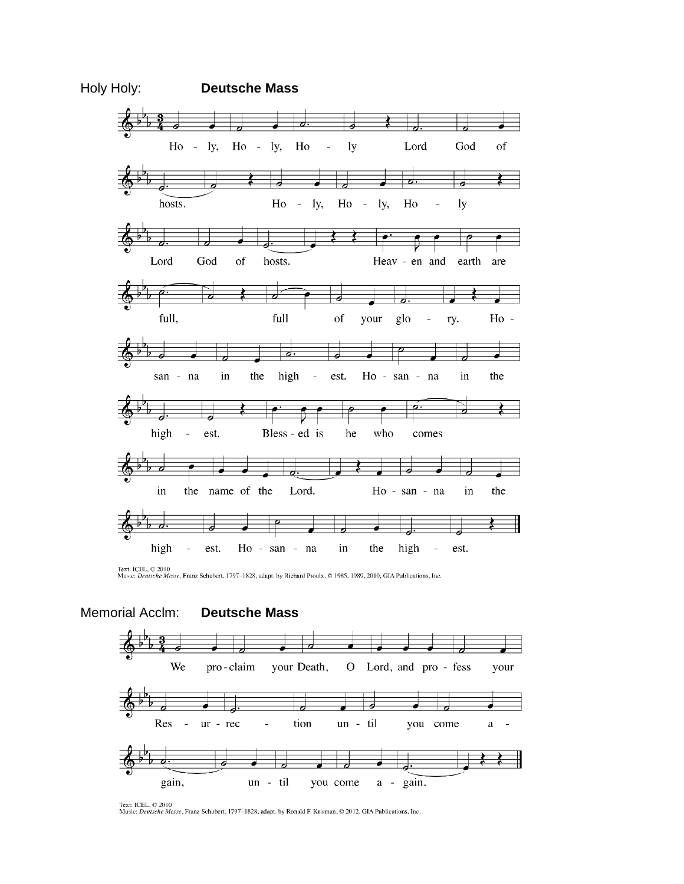

Text: ICEL, © 2010<br>Music: *Deutsche Messe*, Franz Schubert, 1797-1828, adapt. by Richard Proulx, © 1985, 1989, 2010, GIA Publications, Inc.



Text: ICEL, © 2010<br>Music: *Deutsche Messe*, Franz Schubert, 1797–1828; adapt. by Ronald F. Krisman, © 2012, GIA Publications, Inc.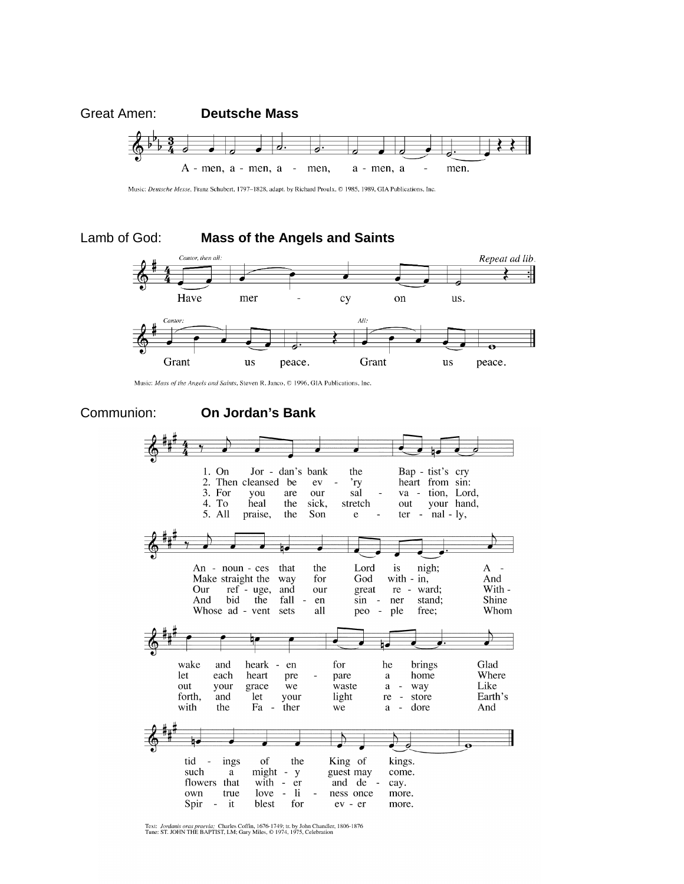

Music: Deutsche Messe, Franz Schubert, 1797-1828, adapt. by Richard Proulx, @ 1985, 1989, GIA Publications, Inc.

#### Lamb of God: **Mass of the Angels and Saints**



Music: Mass of the Angels and Saints, Steven R. Janco, © 1996, GIA Publications, Inc.

#### Communion: **On Jordan's Bank**1. On Jor - dan's bank the Bap - tist's cry heart from sin: 2. Then cleansed be 'ry ev 3. For you are our sal va - tion, Lord, 4. To heal out your hand, the sick, stretch 5. All praise, the Son  $ter - nal - ly,$  $\mathbf{e}$ Lord is nigh;  $A -$ An - noun -  $ces$ that the Make straight the way for God with  $-$  in, And ref<sup>2</sup>- uge,<br>bid the Our and our great re ward; With -Shine And fall  $\overline{a}$ en  $\sin$ ner stand; Whose ad - vent sets free; Whom all peo  $\sim$ ple heark - en Glad wake and for he brings heart home Where let each pre pare a out your grace we waste  $\rm{a}$  $\sim$ way Like Earth's forth. let light re - store and your with the Fa  $\sim$ ther we  $\rm{a}$  $\sim$ dore And tid of the King of kings. ings might - y<br>with - er such a guest may come. and de flowers that cay.  $\sim$  $\overline{\mathbf{h}}$ own true love ness once more. Spir  $\sim$ it blest for  $ev - er$ more.

Text: *Jordanis oras praevia*; Charles Coffin, 1676-1749; tr. by John Chandler, 1806-1876<br>Tune: ST. JOHN THE BAPTIST, LM; Gary Miles, © 1974, 1975, Celebration